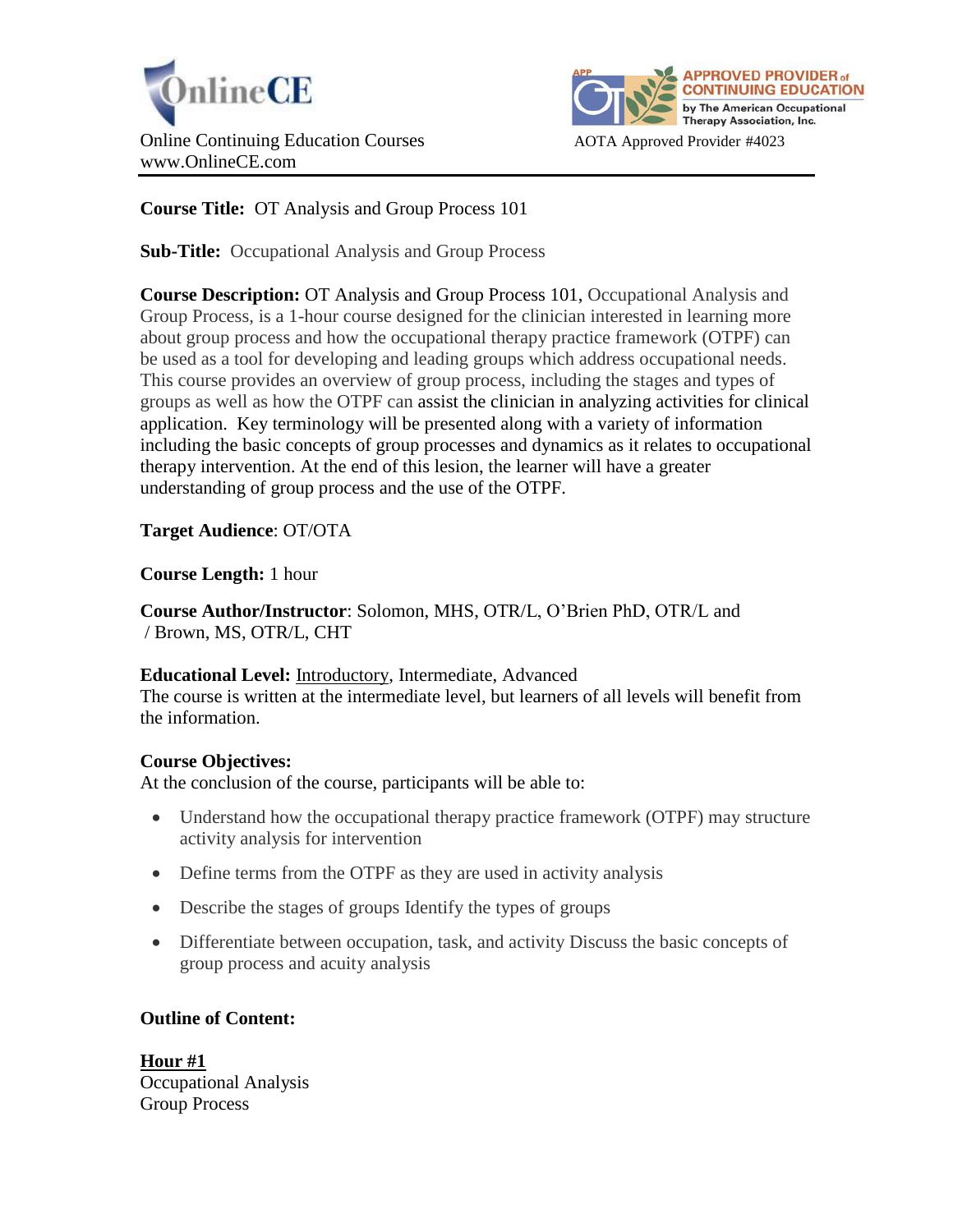



# **Course Title:** OT Analysis and Group Process 101

**Sub-Title:** Occupational Analysis and Group Process

**Course Description:** OT Analysis and Group Process 101, Occupational Analysis and Group Process, is a 1-hour course designed for the clinician interested in learning more about group process and how the occupational therapy practice framework (OTPF) can be used as a tool for developing and leading groups which address occupational needs. This course provides an overview of group process, including the stages and types of groups as well as how the OTPF can assist the clinician in analyzing activities for clinical application. Key terminology will be presented along with a variety of information including the basic concepts of group processes and dynamics as it relates to occupational therapy intervention. At the end of this lesion, the learner will have a greater understanding of group process and the use of the OTPF.

**Target Audience**: OT/OTA

**Course Length:** 1 hour

**Course Author/Instructor**: Solomon, MHS, OTR/L, O'Brien PhD, OTR/L and / Brown, MS, OTR/L, CHT

### **Educational Level:** Introductory, Intermediate, Advanced

The course is written at the intermediate level, but learners of all levels will benefit from the information.

# **Course Objectives:**

At the conclusion of the course, participants will be able to:

- Understand how the occupational therapy practice framework (OTPF) may structure activity analysis for intervention
- Define terms from the OTPF as they are used in activity analysis
- Describe the stages of groups Identify the types of groups
- Differentiate between occupation, task, and activity Discuss the basic concepts of group process and acuity analysis

# **Outline of Content:**

**Hour #1** Occupational Analysis Group Process